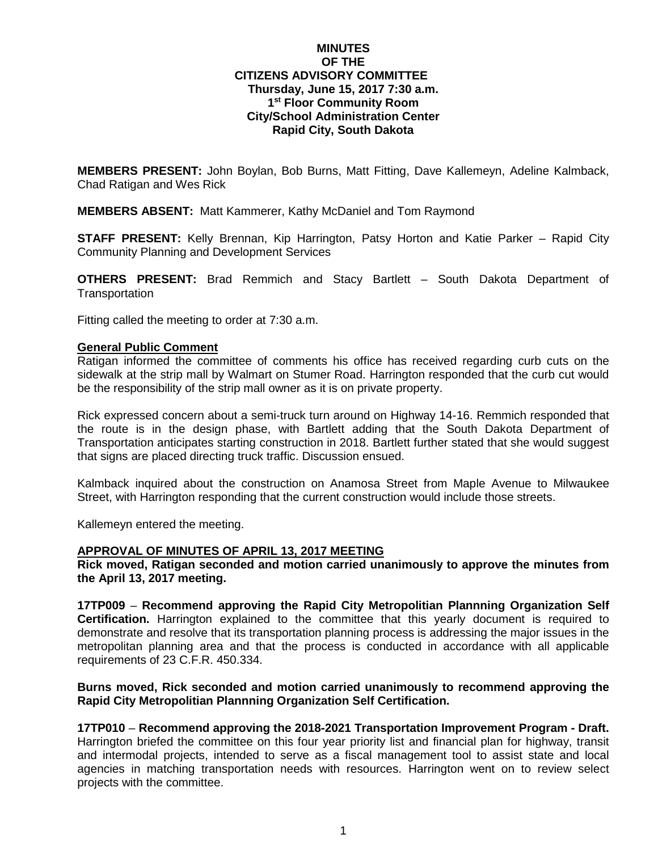# **MINUTES OF THE CITIZENS ADVISORY COMMITTEE Thursday, June 15, 2017 7:30 a.m. 1st Floor Community Room City/School Administration Center Rapid City, South Dakota**

**MEMBERS PRESENT:** John Boylan, Bob Burns, Matt Fitting, Dave Kallemeyn, Adeline Kalmback, Chad Ratigan and Wes Rick

**MEMBERS ABSENT:** Matt Kammerer, Kathy McDaniel and Tom Raymond

**STAFF PRESENT:** Kelly Brennan, Kip Harrington, Patsy Horton and Katie Parker – Rapid City Community Planning and Development Services

**OTHERS PRESENT:** Brad Remmich and Stacy Bartlett – South Dakota Department of **Transportation** 

Fitting called the meeting to order at 7:30 a.m.

### **General Public Comment**

Ratigan informed the committee of comments his office has received regarding curb cuts on the sidewalk at the strip mall by Walmart on Stumer Road. Harrington responded that the curb cut would be the responsibility of the strip mall owner as it is on private property.

Rick expressed concern about a semi-truck turn around on Highway 14-16. Remmich responded that the route is in the design phase, with Bartlett adding that the South Dakota Department of Transportation anticipates starting construction in 2018. Bartlett further stated that she would suggest that signs are placed directing truck traffic. Discussion ensued.

Kalmback inquired about the construction on Anamosa Street from Maple Avenue to Milwaukee Street, with Harrington responding that the current construction would include those streets.

Kallemeyn entered the meeting.

## **APPROVAL OF MINUTES OF APRIL 13, 2017 MEETING**

**Rick moved, Ratigan seconded and motion carried unanimously to approve the minutes from the April 13, 2017 meeting.**

**17TP009** – **Recommend approving the Rapid City Metropolitian Plannning Organization Self Certification.** Harrington explained to the committee that this yearly document is required to demonstrate and resolve that its transportation planning process is addressing the major issues in the metropolitan planning area and that the process is conducted in accordance with all applicable requirements of 23 C.F.R. 450.334.

## **Burns moved, Rick seconded and motion carried unanimously to recommend approving the Rapid City Metropolitian Plannning Organization Self Certification.**

**17TP010** – **Recommend approving the 2018-2021 Transportation Improvement Program - Draft.** Harrington briefed the committee on this four year priority list and financial plan for highway, transit and intermodal projects, intended to serve as a fiscal management tool to assist state and local agencies in matching transportation needs with resources. Harrington went on to review select projects with the committee.